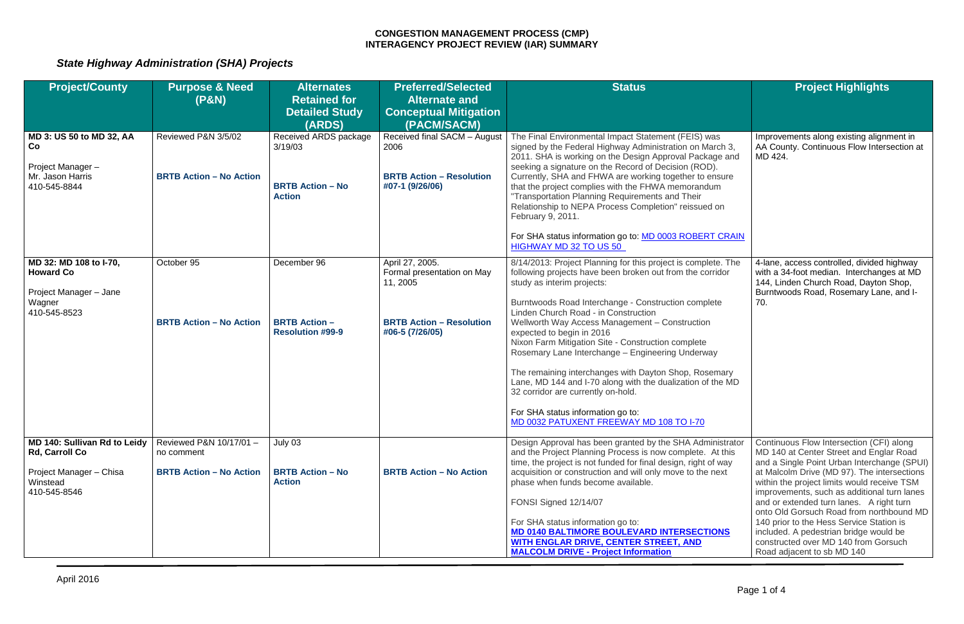# *State Highway Administration (SHA) Projects*

| <b>Project/County</b>                                                                          | <b>Purpose &amp; Need</b>                                               | <b>Alternates</b>                                                            | <b>Preferred/Selected</b>                                                                                       | <b>Status</b>                                                                                                                                                                                                                                                                                                                                                                                                                                                                                                                                                                                                                                                                                 | <b>Project Highlights</b>                                                                                                                                                                                                                                                                       |
|------------------------------------------------------------------------------------------------|-------------------------------------------------------------------------|------------------------------------------------------------------------------|-----------------------------------------------------------------------------------------------------------------|-----------------------------------------------------------------------------------------------------------------------------------------------------------------------------------------------------------------------------------------------------------------------------------------------------------------------------------------------------------------------------------------------------------------------------------------------------------------------------------------------------------------------------------------------------------------------------------------------------------------------------------------------------------------------------------------------|-------------------------------------------------------------------------------------------------------------------------------------------------------------------------------------------------------------------------------------------------------------------------------------------------|
|                                                                                                | (P&N)                                                                   | <b>Retained for</b>                                                          | <b>Alternate and</b>                                                                                            |                                                                                                                                                                                                                                                                                                                                                                                                                                                                                                                                                                                                                                                                                               |                                                                                                                                                                                                                                                                                                 |
|                                                                                                |                                                                         | <b>Detailed Study</b>                                                        | <b>Conceptual Mitigation</b>                                                                                    |                                                                                                                                                                                                                                                                                                                                                                                                                                                                                                                                                                                                                                                                                               |                                                                                                                                                                                                                                                                                                 |
|                                                                                                |                                                                         | (ARDS)                                                                       | (PACM/SACM)                                                                                                     |                                                                                                                                                                                                                                                                                                                                                                                                                                                                                                                                                                                                                                                                                               |                                                                                                                                                                                                                                                                                                 |
| <b>MD 3: US 50 to MD 32, AA</b><br>Co<br>Project Manager-<br>Mr. Jason Harris<br>410-545-8844  | Reviewed P&N 3/5/02<br><b>BRTB Action - No Action</b>                   | Received ARDS package<br>3/19/03<br><b>BRTB Action - No</b><br><b>Action</b> | Received final SACM - August<br>2006<br><b>BRTB Action - Resolution</b><br>#07-1 (9/26/06)                      | The Final Environmental Impact Statement (FEIS) was<br>signed by the Federal Highway Administration on March 3,<br>2011. SHA is working on the Design Approval Package and<br>seeking a signature on the Record of Decision (ROD).<br>Currently, SHA and FHWA are working together to ensure<br>that the project complies with the FHWA memorandum<br>"Transportation Planning Requirements and Their<br>Relationship to NEPA Process Completion" reissued on<br>February 9, 2011.<br>For SHA status information go to: MD 0003 ROBERT CRAIN<br>HIGHWAY MD 32 TO US 50                                                                                                                        | Improvements along existing alignment in<br>AA County. Continuous Flow Intersection at<br>MD 424.                                                                                                                                                                                               |
|                                                                                                |                                                                         |                                                                              |                                                                                                                 |                                                                                                                                                                                                                                                                                                                                                                                                                                                                                                                                                                                                                                                                                               |                                                                                                                                                                                                                                                                                                 |
| MD 32: MD 108 to I-70,<br><b>Howard Co</b><br>Project Manager - Jane<br>Wagner<br>410-545-8523 | October 95<br><b>BRTB Action - No Action</b>                            | December 96<br><b>BRTB Action -</b><br><b>Resolution #99-9</b>               | April 27, 2005.<br>Formal presentation on May<br>11, 2005<br><b>BRTB Action - Resolution</b><br>#06-5 (7/26/05) | 8/14/2013: Project Planning for this project is complete. The<br>following projects have been broken out from the corridor<br>study as interim projects:<br>Burntwoods Road Interchange - Construction complete<br>Linden Church Road - in Construction<br>Wellworth Way Access Management - Construction<br>expected to begin in 2016<br>Nixon Farm Mitigation Site - Construction complete<br>Rosemary Lane Interchange - Engineering Underway<br>The remaining interchanges with Dayton Shop, Rosemary<br>Lane, MD 144 and I-70 along with the dualization of the MD<br>32 corridor are currently on-hold.<br>For SHA status information go to:<br>MD 0032 PATUXENT FREEWAY MD 108 TO I-70 | 4-lane, access controlled, divided highway<br>with a 34-foot median. Interchanges at MD<br>144, Linden Church Road, Dayton Shop,<br>Burntwoods Road, Rosemary Lane, and I-<br>70.                                                                                                               |
| MD 140: Sullivan Rd to Leidy<br><b>Rd, Carroll Co</b><br>Project Manager - Chisa<br>Winstead   | Reviewed P&N 10/17/01 -<br>no comment<br><b>BRTB Action - No Action</b> | July 03<br><b>BRTB Action - No</b><br><b>Action</b>                          | <b>BRTB Action - No Action</b>                                                                                  | Design Approval has been granted by the SHA Administrator<br>and the Project Planning Process is now complete. At this<br>time, the project is not funded for final design, right of way<br>acquisition or construction and will only move to the next<br>phase when funds become available.                                                                                                                                                                                                                                                                                                                                                                                                  | Continuous Flow Intersection (CFI) along<br>MD 140 at Center Street and Englar Road<br>and a Single Point Urban Interchange (SPUI)<br>at Malcolm Drive (MD 97). The intersections<br>within the project limits would receive TSM                                                                |
| 410-545-8546                                                                                   |                                                                         |                                                                              |                                                                                                                 | FONSI Signed 12/14/07<br>For SHA status information go to:<br><b>MD 0140 BALTIMORE BOULEVARD INTERSECTIONS</b><br>WITH ENGLAR DRIVE, CENTER STREET, AND<br><b>MALCOLM DRIVE - Project Information</b>                                                                                                                                                                                                                                                                                                                                                                                                                                                                                         | improvements, such as additional turn lanes<br>and or extended turn lanes. A right turn<br>onto Old Gorsuch Road from northbound MD<br>140 prior to the Hess Service Station is<br>included. A pedestrian bridge would be<br>constructed over MD 140 from Gorsuch<br>Road adjacent to sb MD 140 |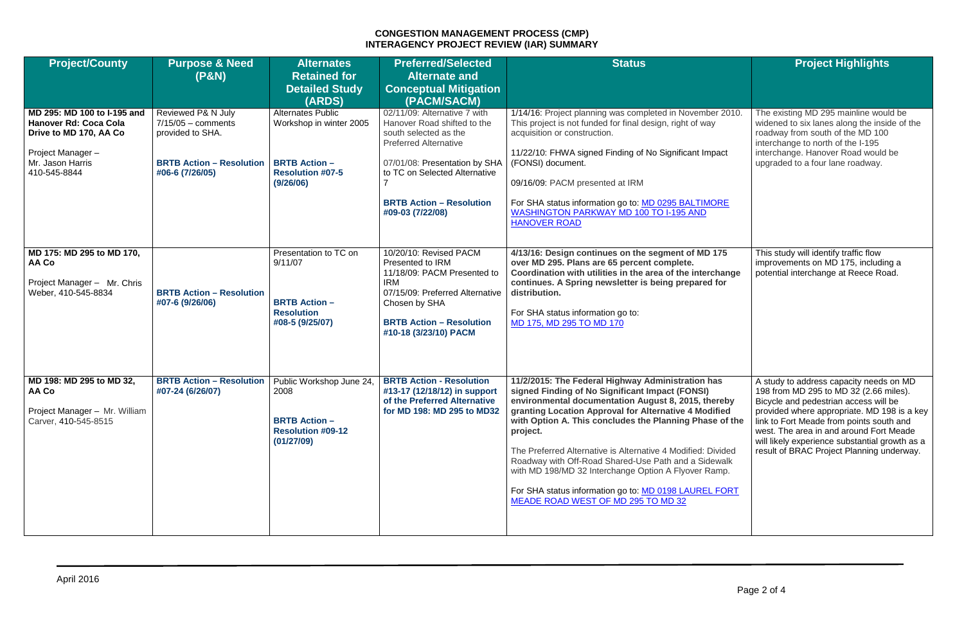| <b>Project/County</b>                                                                                                                         | <b>Purpose &amp; Need</b><br>(P&N)                                                                                   | <b>Alternates</b><br><b>Retained for</b><br><b>Detailed Study</b><br>(ARDS)                                         | <b>Preferred/Selected</b><br><b>Alternate and</b><br><b>Conceptual Mitigation</b><br>(PACM/SACM)                                                                                                                                              | <b>Status</b>                                                                                                                                                                                                                                                                                                                                                                                                                                                                                                                                                              | <b>Project Highlights</b>                                                                                                                                                                                                                                                                                                                                       |
|-----------------------------------------------------------------------------------------------------------------------------------------------|----------------------------------------------------------------------------------------------------------------------|---------------------------------------------------------------------------------------------------------------------|-----------------------------------------------------------------------------------------------------------------------------------------------------------------------------------------------------------------------------------------------|----------------------------------------------------------------------------------------------------------------------------------------------------------------------------------------------------------------------------------------------------------------------------------------------------------------------------------------------------------------------------------------------------------------------------------------------------------------------------------------------------------------------------------------------------------------------------|-----------------------------------------------------------------------------------------------------------------------------------------------------------------------------------------------------------------------------------------------------------------------------------------------------------------------------------------------------------------|
| MD 295: MD 100 to I-195 and<br><b>Hanover Rd: Coca Cola</b><br>Drive to MD 170, AA Co<br>Project Manager-<br>Mr. Jason Harris<br>410-545-8844 | Reviewed P& N July<br>$7/15/05 -$ comments<br>provided to SHA.<br><b>BRTB Action - Resolution</b><br>#06-6 (7/26/05) | <b>Alternates Public</b><br>Workshop in winter 2005<br><b>BRTB Action -</b><br><b>Resolution #07-5</b><br>(9/26/06) | 02/11/09: Alternative 7 with<br>Hanover Road shifted to the<br>south selected as the<br><b>Preferred Alternative</b><br>07/01/08: Presentation by SHA<br>to TC on Selected Alternative<br><b>BRTB Action - Resolution</b><br>#09-03 (7/22/08) | 1/14/16: Project planning was completed in November 2010.<br>This project is not funded for final design, right of way<br>acquisition or construction.<br>11/22/10: FHWA signed Finding of No Significant Impact<br>(FONSI) document.<br>09/16/09: PACM presented at IRM<br>For SHA status information go to: MD 0295 BALTIMORE<br><b>WASHINGTON PARKWAY MD 100 TO I-195 AND</b><br><b>HANOVER ROAD</b>                                                                                                                                                                    | The existing MD 295 mainline would be<br>widened to six lanes along the inside of the<br>roadway from south of the MD 100<br>interchange to north of the I-195<br>interchange. Hanover Road would be<br>upgraded to a four lane roadway.                                                                                                                        |
| MD 175: MD 295 to MD 170,<br>AA Co<br>Project Manager - Mr. Chris<br>Weber, 410-545-8834                                                      | <b>BRTB Action - Resolution</b><br>#07-6 (9/26/06)                                                                   | Presentation to TC on<br>9/11/07<br><b>BRTB Action -</b><br><b>Resolution</b><br>#08-5 (9/25/07)                    | 10/20/10: Revised PACM<br>Presented to IRM<br>11/18/09: PACM Presented to<br><b>IRM</b><br>07/15/09: Preferred Alternative<br>Chosen by SHA<br><b>BRTB Action - Resolution</b><br>#10-18 (3/23/10) PACM                                       | 4/13/16: Design continues on the segment of MD 175<br>over MD 295. Plans are 65 percent complete.<br>Coordination with utilities in the area of the interchange<br>continues. A Spring newsletter is being prepared for<br>distribution.<br>For SHA status information go to:<br>MD 175, MD 295 TO MD 170                                                                                                                                                                                                                                                                  | This study will identify traffic flow<br>improvements on MD 175, including a<br>potential interchange at Reece Road.                                                                                                                                                                                                                                            |
| MD 198: MD 295 to MD 32,<br>AA Co<br>Project Manager - Mr. William<br>Carver, 410-545-8515                                                    | <b>BRTB Action - Resolution</b><br>#07-24 (6/26/07)                                                                  | Public Workshop June 24,<br>2008<br><b>BRTB Action -</b><br><b>Resolution #09-12</b><br>(01/27/09)                  | <b>BRTB Action - Resolution</b><br>#13-17 (12/18/12) in support<br>of the Preferred Alternative<br>for MD 198: MD 295 to MD32                                                                                                                 | 11/2/2015: The Federal Highway Administration has<br>signed Finding of No Significant Impact (FONSI)<br>environmental documentation August 8, 2015, thereby<br>granting Location Approval for Alternative 4 Modified<br>with Option A. This concludes the Planning Phase of the<br>project.<br>The Preferred Alternative is Alternative 4 Modified: Divided<br>Roadway with Off-Road Shared-Use Path and a Sidewalk<br>with MD 198/MD 32 Interchange Option A Flyover Ramp.<br>For SHA status information go to: MD 0198 LAUREL FORT<br>MEADE ROAD WEST OF MD 295 TO MD 32 | A study to address capacity needs on MD<br>198 from MD 295 to MD 32 (2.66 miles).<br>Bicycle and pedestrian access will be<br>provided where appropriate. MD 198 is a key<br>link to Fort Meade from points south and<br>west. The area in and around Fort Meade<br>will likely experience substantial growth as a<br>result of BRAC Project Planning underway. |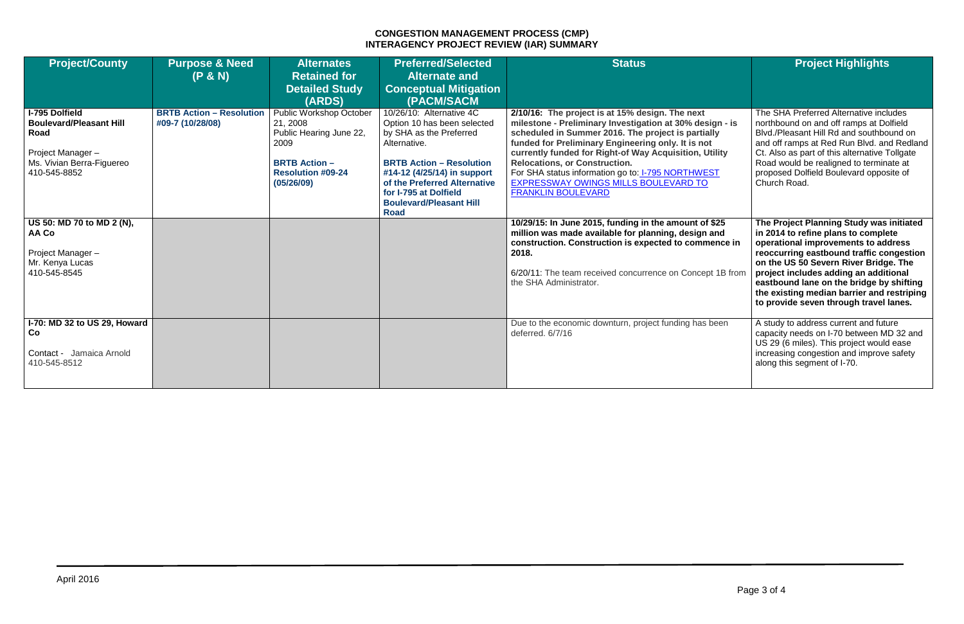| <b>Project/County</b>                                                                                                            | <b>Purpose &amp; Need</b><br>(P & N)                | <b>Alternates</b><br><b>Retained for</b><br><b>Detailed Study</b><br>(ARDS)                                                              | <b>Preferred/Selected</b><br><b>Alternate and</b><br><b>Conceptual Mitigation</b><br>(PACM/SACM                                                                                                                                                                                | <b>Status</b>                                                                                                                                                                                                                                                                                                                                                                                                                                              | <b>Project Highlights</b>                                                                                                                                                                                                                                                                                                                                                                |
|----------------------------------------------------------------------------------------------------------------------------------|-----------------------------------------------------|------------------------------------------------------------------------------------------------------------------------------------------|--------------------------------------------------------------------------------------------------------------------------------------------------------------------------------------------------------------------------------------------------------------------------------|------------------------------------------------------------------------------------------------------------------------------------------------------------------------------------------------------------------------------------------------------------------------------------------------------------------------------------------------------------------------------------------------------------------------------------------------------------|------------------------------------------------------------------------------------------------------------------------------------------------------------------------------------------------------------------------------------------------------------------------------------------------------------------------------------------------------------------------------------------|
| <b>I-795 Dolfield</b><br><b>Boulevard/Pleasant Hill</b><br>Road<br>Project Manager-<br>Ms. Vivian Berra-Figuereo<br>410-545-8852 | <b>BRTB Action - Resolution</b><br>#09-7 (10/28/08) | Public Workshop October<br>21, 2008<br>Public Hearing June 22,<br>2009<br><b>BRTB Action -</b><br><b>Resolution #09-24</b><br>(05/26/09) | 10/26/10: Alternative 4C<br>Option 10 has been selected<br>by SHA as the Preferred<br>Alternative.<br><b>BRTB Action - Resolution</b><br>#14-12 (4/25/14) in support<br>of the Preferred Alternative<br>for I-795 at Dolfield<br><b>Boulevard/Pleasant Hill</b><br><b>Road</b> | 2/10/16: The project is at 15% design. The next<br>milestone - Preliminary Investigation at 30% design - is<br>scheduled in Summer 2016. The project is partially<br>funded for Preliminary Engineering only. It is not<br>currently funded for Right-of Way Acquisition, Utility<br><b>Relocations, or Construction.</b><br>For SHA status information go to: <b>I-795 NORTHWEST</b><br>EXPRESSWAY OWINGS MILLS BOULEVARD TO<br><b>FRANKLIN BOULEVARD</b> | The SHA Preferred Alternative includes<br>northbound on and off ramps at Dolfield<br>Blvd./Pleasant Hill Rd and southbound on<br>and off ramps at Red Run Blvd. and Redland<br>Ct. Also as part of this alternative Tollgate<br>Road would be realigned to terminate at<br>proposed Dolfield Boulevard opposite of<br>Church Road.                                                       |
| US 50: MD 70 to MD 2 (N),<br>AA Co<br>Project Manager-<br>Mr. Kenya Lucas<br>410-545-8545                                        |                                                     |                                                                                                                                          |                                                                                                                                                                                                                                                                                | 10/29/15: In June 2015, funding in the amount of \$25<br>million was made available for planning, design and<br>construction. Construction is expected to commence in<br>2018.<br>6/20/11: The team received concurrence on Concept 1B from<br>the SHA Administrator.                                                                                                                                                                                      | The Project Planning Study was initiated<br>in 2014 to refine plans to complete<br>operational improvements to address<br>reoccurring eastbound traffic congestion<br>on the US 50 Severn River Bridge. The<br>project includes adding an additional<br>eastbound lane on the bridge by shifting<br>the existing median barrier and restriping<br>to provide seven through travel lanes. |
| I-70: MD 32 to US 29, Howard<br>Co<br>Contact - Jamaica Arnold<br>410-545-8512                                                   |                                                     |                                                                                                                                          |                                                                                                                                                                                                                                                                                | Due to the economic downturn, project funding has been<br>deferred. 6/7/16                                                                                                                                                                                                                                                                                                                                                                                 | A study to address current and future<br>capacity needs on I-70 between MD 32 and<br>US 29 (6 miles). This project would ease<br>increasing congestion and improve safety<br>along this segment of I-70.                                                                                                                                                                                 |